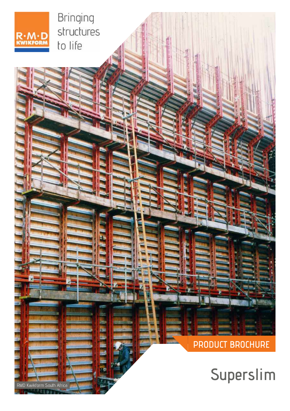

RMD Kwikform South Africa

**BUT GARD** 

E.

Bringing structures to life

# **PRODUCT BROCHURE**

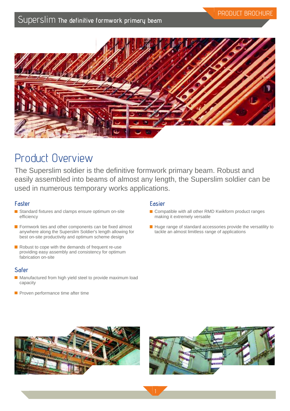

# Product Overview

The Superslim soldier is the definitive formwork primary beam. Robust and easily assembled into beams of almost any length, the Superslim soldier can be used in numerous temporary works applications.

## **Faster**

- Standard fixtures and clamps ensure optimum on-site efficiency
- Formwork ties and other components can be fixed almost anywhere along the Superslim Soldier's length allowing for best on-site productivity and optimum scheme design
- Robust to cope with the demands of frequent re-use providing easy assembly and consistency for optimum fabrication on-site

## **Safer**

- Manufactured from high yield steel to provide maximum load capacity
- $\blacksquare$  Proven performance time after time

## **Easier**

- Compatible with all other RMD Kwikform product ranges making it extremely versatile
- Huge range of standard accessories provide the versatility to tackle an almost limitless range of applications



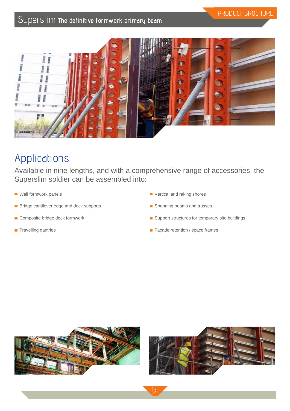

# Applications

Available in nine lengths, and with a comprehensive range of accessories, the Superslim soldier can be assembled into:

2

- **Wall formwork panels**
- **Bridge cantilever edge and deck supports**
- Composite bridge deck formwork
- **Travelling gantries**
- **Vertical and raking shores**
- Spanning beams and trusses
- Support structures for temporary site buildings
- Façade retention / space frames





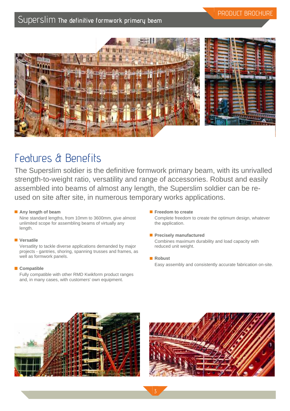



# Features & Benefits

The Superslim soldier is the definitive formwork primary beam, with its unrivalled strength-to-weight ratio, versatility and range of accessories. Robust and easily assembled into beams of almost any length, the Superslim soldier can be reused on site after site, in numerous temporary works applications.

## **Any length of beam**

Nine standard lengths, from 10mm to 3600mm, give almost unlimited scope for assembling beams of virtually any length.

## **Versatile**

Versatlity to tackle diverse applications demanded by major projects - gantries, shoring, spanning trusses and frames, as well as formwork panels.

## ■ Compatible

Fully compatible with other RMD Kwikform product ranges and, in many cases, with customers' own equipment.

**Freedom to create** 

Complete freedom to create the optimum design, whatever the application.

- **Precisely manufactured** Combines maximum durability and load capacity with reduced unit weight.
- **Robust** Easy assembly and consistently accurate fabrication on-site.



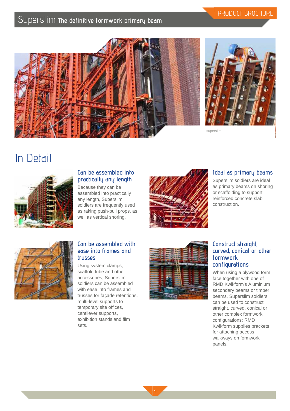



PRODUCT BROCHURE

superslim

# In Detail



## **Can be assembled into practically any length**

Because they can be assembled into practically any length, Superslim soldiers are frequently used as raking push-pull props, as well as vertical shoring.



## **Ideal as primary beams**

Superslim soldiers are ideal as primary beams on shoring or scaffolding to support reinforced concrete slab construction.



## **Can be assembled with ease into frames and trusses**

Using system clamps, scaffold tube and other accessories, Superslim soldiers can be assembled with ease into frames and trusses for façade retentions, multi-level supports to temporary site offices, cantilever supports, exhibition stands and film sets.



## **Construct straight, curved, conical or other formwork configurations**

When using a plywood form face together with one of RMD Kwikform's Aluminium secondary beams or timber beams, Superslim soldiers can be used to construct straight, curved, conical or other complex formwork configurations: RMD Kwikform supplies brackets for attaching access walkways on formwork panels.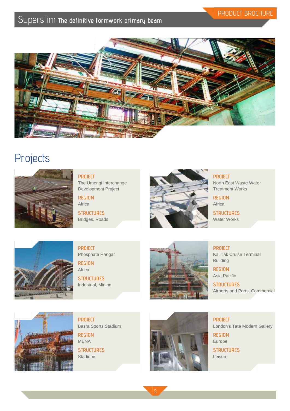## PRODUCT BROCHURE



# **Projects**



**PROJECT** The Umengi Interchange Development Project

**REGION** Africa **STRUCTURES**

Bridges, Roads



**PROJECT** North East Waste Water Treatment Works

**REGION** Africa

**STRUCTURES** Water Works



**PROJECT** Phosphate Hangar

**REGION** Africa

**STRUCTURES** Industrial, Mining



**PROJECT** Kai Tak Cruise Terminal

Building **REGION** Asia Pacific

**STRUCTURES** Airports and Ports, Commercial



**PROJECT** Basra Sports Stadium

**REGION** MENA **STRUCTURES**

**Stadiums** 



**PROJECT** London's Tate Modern Gallery

**REGION** Europe **STRUCTURES**

Leisure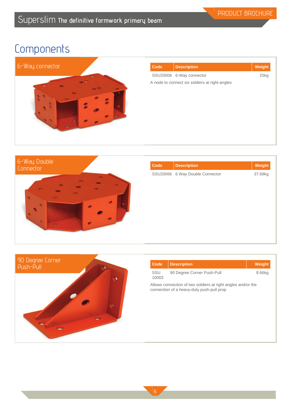

| <b>Code</b> | <b>Description</b>                             | Weight |
|-------------|------------------------------------------------|--------|
|             | SSU20006 6-Way connector                       | 25kg   |
|             | A node to connect six soldiers at right-angles |        |
|             |                                                |        |
|             |                                                |        |
|             |                                                |        |
|             |                                                |        |
|             |                                                |        |
|             |                                                |        |
|             |                                                |        |
|             |                                                |        |



| Code | <b>Description</b>              | Weight  |
|------|---------------------------------|---------|
|      | SSU20066 6 Way Double Connector | 37.68kg |
|      |                                 |         |
|      |                                 |         |
|      |                                 |         |
|      |                                 |         |
|      |                                 |         |
|      |                                 |         |
|      |                                 |         |



| Code         | <b>Description</b>                                                                                        | Weight |
|--------------|-----------------------------------------------------------------------------------------------------------|--------|
| SSU<br>10003 | 90 Degree Corner Push-Pull                                                                                | 8.66kg |
|              | Allows connection of two soldiers at right angles and/or the<br>connection of a heavy-duty push-pull prop |        |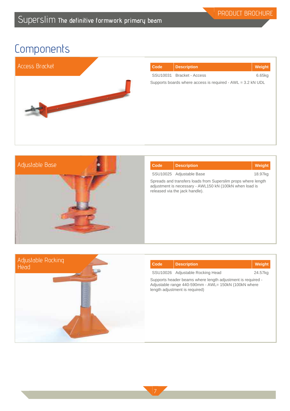

| Code | <b>Description</b>                                          | Weight |
|------|-------------------------------------------------------------|--------|
|      | SSU10031 Bracket - Access                                   | 6.65kg |
|      | Supports boards where access is required - AWL = 3.2 kN UDL |        |
|      |                                                             |        |
|      |                                                             |        |
|      |                                                             |        |
|      |                                                             |        |
|      |                                                             |        |
|      |                                                             |        |



| Code | <b>Description</b>                                                                                                                                         | <b>Weight</b> |
|------|------------------------------------------------------------------------------------------------------------------------------------------------------------|---------------|
|      | SSU10025 Adjustable Base                                                                                                                                   | 18.97kg       |
|      | Spreads and transfers loads from Superslim props where length<br>adjustment is necessary - AWL150 kN (100kN when load is<br>released via the jack handle). |               |



| Code | <b>Description</b>                                                                                                                                    | Weight  |
|------|-------------------------------------------------------------------------------------------------------------------------------------------------------|---------|
|      | SSU10026 Adjustable Rocking Head                                                                                                                      | 24.57kg |
|      | Supports header beams where length adjustment is required -<br>Adjustable range 440-590mm - AWL= 150kN (100kN where<br>length adjustment is required) |         |
|      |                                                                                                                                                       |         |
|      |                                                                                                                                                       |         |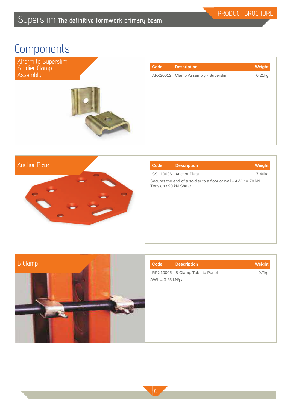| Alform to Superslim<br>Soldier Clamp | Code | <b>Description</b>                  | Weight |
|--------------------------------------|------|-------------------------------------|--------|
| Assembly                             |      | AFX20012 Clamp Assembly - Superslim | 0.21kg |
|                                      |      |                                     |        |



| Code                  | <b>Description</b>                                               | Weight             |
|-----------------------|------------------------------------------------------------------|--------------------|
|                       | SSU10036 Anchor Plate                                            | 7.40 <sub>kg</sub> |
| Tension / 90 kN Shear | Secures the end of a soldier to a floor or wall - $AWI := 70$ kN |                    |



| <b>Code</b>          | <b>Description</b>             | Weight |
|----------------------|--------------------------------|--------|
|                      | RPX10005 B Clamp Tube to Panel | 0.7kg  |
| $AWL = 3.25$ kN/pair |                                |        |
|                      |                                |        |
|                      |                                |        |
|                      |                                |        |
|                      |                                |        |
|                      |                                |        |
|                      |                                |        |
|                      |                                |        |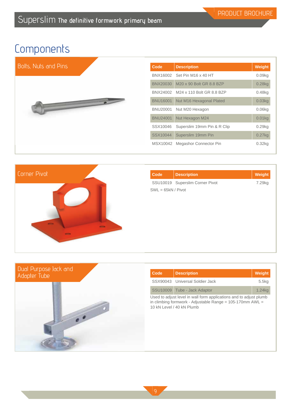



| <b>Code</b>          | <b>Description</b>              | Weight |
|----------------------|---------------------------------|--------|
|                      | SSU10019 Superslim Corner Pivot | 7.29kg |
| $SWL = 65kN / Pivot$ |                                 |        |
|                      |                                 |        |
|                      |                                 |        |
|                      |                                 |        |
|                      |                                 |        |
|                      |                                 |        |
|                      |                                 |        |
|                      |                                 |        |



| Code                                                                                                                                                            | <b>Description</b>              | Weight |
|-----------------------------------------------------------------------------------------------------------------------------------------------------------------|---------------------------------|--------|
|                                                                                                                                                                 | SSX90043 Universal Soldier Jack | 5.5kg  |
|                                                                                                                                                                 | SSU10009 Tube - Jack Adaptor    | 1.24kg |
| Used to adjust level in wall form applications and to adjust plumb<br>in climbing formwork - Adjustable Range = $105-170$ mm AWL =<br>10 kN Level / 40 kN Plumb |                                 |        |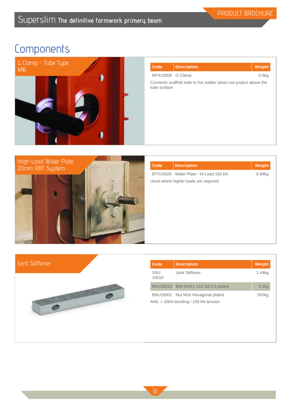

| Code                                                                              | <b>Description</b> | Weight |
|-----------------------------------------------------------------------------------|--------------------|--------|
| RPX10008 G Clamp                                                                  |                    | 0.6kg  |
| Connects scaffold tube to the soldier (does not project above the<br>tube surface |                    |        |
|                                                                                   |                    |        |



| <b>Code</b> | <b>Description</b>                    | Weight |
|-------------|---------------------------------------|--------|
|             | BTX10029 Waler Plate - Hi Load 160 kN | 6.84kg |
|             | Used where higher loads are required  |        |
|             |                                       |        |
|             |                                       |        |
|             |                                       |        |
|             |                                       |        |
|             |                                       |        |
|             |                                       |        |
|             |                                       |        |

## Joint Stiffener



| Code         | <b>Description</b>                                                         | Weight |
|--------------|----------------------------------------------------------------------------|--------|
| SSU<br>10010 | Joint Stiffener                                                            | 1.44kg |
|              | BNU16013 Bolt M16 x 110 Gd 8.8 plated                                      | 0.2kg  |
|              | BNU16001 Nut M16 Hexagonal plated<br>$AWL = 20kN$ bending / 150 kN tension | 003kg  |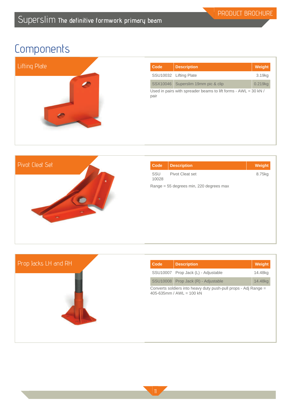

| Code                                                                      | <b>Description</b>        | Weight              |
|---------------------------------------------------------------------------|---------------------------|---------------------|
|                                                                           | SSU10032 Lifting Plate    | 3.19kg              |
| SSX10046                                                                  | Superslim 19mm pic & clip | 0.219 <sub>kg</sub> |
| Used in pairs with spreader beams to lift forms - $AWL = 30$ kN /<br>pair |                           |                     |



| Code         | <b>Description</b>                      | Weight |
|--------------|-----------------------------------------|--------|
| SSU<br>10028 | Pivot Cleat set                         | 8.75kg |
|              | Range = 55 degrees min, 220 degrees max |        |
|              |                                         |        |
|              |                                         |        |
|              |                                         |        |



| Code | <b>Description</b>                                                                               | Weight  |
|------|--------------------------------------------------------------------------------------------------|---------|
|      | SSU10007 Prop Jack (L) - Adjustable                                                              | 14.48kg |
|      | SSU10008 Prop Jack (R) - Adjustable                                                              | 14.48kg |
|      | Converts soldiers into heavy duty push-pull props - Adj Range =<br>$405 - 635$ mm / AWI = 100 kN |         |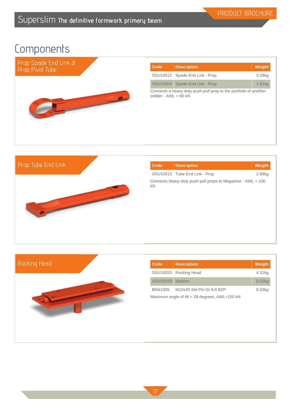

| Code                                                                                       | <b>Description</b>             | Weight |
|--------------------------------------------------------------------------------------------|--------------------------------|--------|
|                                                                                            | SSU10012 Spade End Link - Prop | 3.09kg |
|                                                                                            | SSU10004 Spade End Link - Prop | 1.81kg |
| Connects a heavy duty push-pull prop to the porthole of another<br>soldier - $AWL = 65$ kN |                                |        |

## Prop Tube End Link



| Code | <b>Description</b>                                            | Weight |
|------|---------------------------------------------------------------|--------|
|      | SSU10013 Tube End Link - Prop                                 | 2.88kg |
| kN   | Connects heavy duty push-pull props to Megashor - $AWL = 100$ |        |



| Code                                             | <b>Description</b>        | Weight    |
|--------------------------------------------------|---------------------------|-----------|
|                                                  | SSU10023 Rocking Head     | 4.31kg    |
| SSU10029                                         | Washer                    | $0.02$ kg |
| BNX1005                                          | M10x20 Set Pin Gr 8.8 BZP | $0.03$ ka |
| Maximum angle of tilt = 28 degrees, $AWL=150$ kN |                           |           |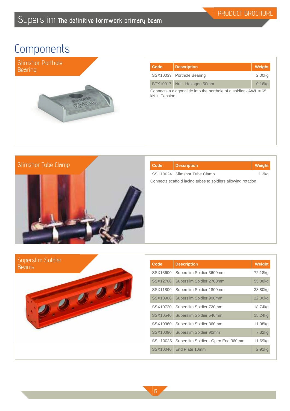

| Code                                                                                 | <b>Description</b>          | Weight    |
|--------------------------------------------------------------------------------------|-----------------------------|-----------|
|                                                                                      | SSX10039 Porthole Bearing   | 2.00kg    |
|                                                                                      | BTX10017 Nut - Hexagon 50mm | $0.16$ kg |
| Connects a diagonal tie into the porthole of a soldier - $AWL = 65$<br>kN in Tension |                             |           |

# Slimshor Tube Clamp

| Code | <b>Description</b>                                           | Weight |
|------|--------------------------------------------------------------|--------|
|      | SSU10024 Slimshor Tube Clamp                                 | 1.3kg  |
|      | Connects scaffold lacing tubes to soldiers allowing rotation |        |
|      |                                                              |        |
|      |                                                              |        |
|      |                                                              |        |
|      |                                                              |        |
|      |                                                              |        |

| Superslim Soldier<br>Beams |  |
|----------------------------|--|
|                            |  |

| Code     | <b>Description</b>                 | <b>Weight</b> |
|----------|------------------------------------|---------------|
| SSX13600 | Superslim Soldier 3600mm           | 72.18kg       |
| SSX12700 | Superslim Soldier 2700mm           | 55.38kg       |
| SSX11800 | Superslim Soldier 1800mm           | 38.80kg       |
| SSX10900 | Superslim Soldier 900mm            | 22.00kg       |
| SSX10720 | Superslim Soldier 720mm            | 18.74kg       |
| SSX10540 | Superslim Soldier 540mm            | 15.24kg       |
| SSX10360 | Superslim Soldier 360mm            | 11.98kg       |
| SSX10090 | Superslim Soldier 90mm             | 7.32kg        |
| SSU10035 | Superslim Soldier - Open End 360mm | 11.69kg       |
| SSX10040 | End Plate 10mm                     | 2.91kg        |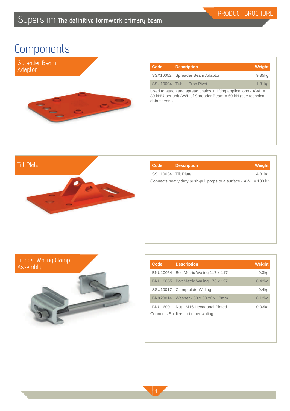

| Code                                                                                                                                                            | <b>Description</b>             | <b>Weight</b> |
|-----------------------------------------------------------------------------------------------------------------------------------------------------------------|--------------------------------|---------------|
|                                                                                                                                                                 | SSX10052 Spreader Beam Adaptor | 9.35kg        |
|                                                                                                                                                                 | SSU10004 Tube - Prop Pivot     | 1.81kg        |
| Used to attach and spread chains in lifting applications - $AWL =$<br>30 kN <sup>1/2</sup> per unit AWL of Spreader Beam = 60 kN (see technical<br>data sheets) |                                |               |



| Code                                                              | <b>Description</b> | Weight |
|-------------------------------------------------------------------|--------------------|--------|
| SSU10034 Tilt Plate                                               |                    | 4.81kg |
| Connects heavy duty push-pull props to a surface - $AWL = 100$ kN |                    |        |
|                                                                   |                    |        |



| Code                               | <b>Description</b>                    | Weight            |
|------------------------------------|---------------------------------------|-------------------|
|                                    | BNU10054 Bolt Metric Waling 117 x 117 | 0.3kg             |
|                                    | BNU10055 Bolt Metric Waling 176 x 127 | 0.42kg            |
|                                    | SSU10017 Clamp plate Waling           | 0.4 <sub>kq</sub> |
|                                    | BNX20014 Washer - 50 x 50 x6 x 18mm   | $0.12$ kg         |
|                                    | BNU16001 Nut - M16 Hexagonal Plated   | $0.03$ ka         |
| Connects Soldiers to timber waling |                                       |                   |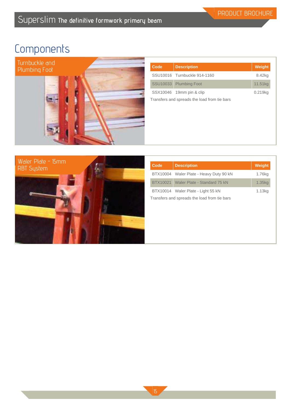

| Code                                         | <b>Description</b>           | Weight  |
|----------------------------------------------|------------------------------|---------|
|                                              | SSU10016 Turnbuckle 914-1160 | 8.42kg  |
|                                              | SSU10033 Plumbing Foot       | 11.51kg |
|                                              | SSX10046 19mm pin & clip     | 0.219kg |
| Transfers and spreads the load from tie bars |                              |         |
|                                              |                              |         |



| Code                                         | <b>Description</b>                      | Weight |
|----------------------------------------------|-----------------------------------------|--------|
|                                              | BTX10004 Waler Plate - Heavy Duty 90 kN | 1.76kg |
|                                              | BTX10021 Waler Plate - Standard 75 kN   | 1.35kg |
|                                              | BTX10014 Waler Plate - Light 55 kN      | 1.13kg |
| Transfers and spreads the load from tie bars |                                         |        |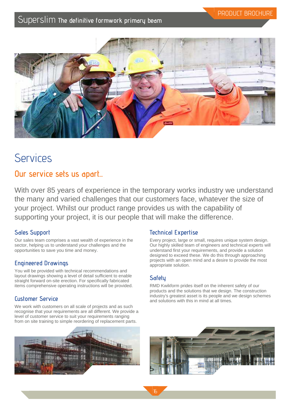

# **Services**

## **Our service sets us apart...**

With over 85 years of experience in the temporary works industry we understand the many and varied challenges that our customers face, whatever the size of your project. Whilst our product range provides us with the capability of supporting your project, it is our people that will make the difference.

## **Sales Support**

Our sales team comprises a vast wealth of experience in the sector, helping us to understand your challenges and the opportunities to save you time and money.

## **Engineered Drawings**

You will be provided with technical recommendations and layout drawings showing a level of detail sufficient to enable straight forward on-site erection. For specifically fabricated items comprehensive operating instructions will be provided.

## **Customer Service**

We work with customers on all scale of projects and as such recognise that your requirements are all different. We provide a level of customer service to suit your requirements ranging from on site training to simple reordering of replacement parts.



## **Technical Expertise**

Every project, large or small, requires unique system design. Our highly skilled team of engineers and technical experts will understand first your requirements, and provide a solution designed to exceed these. We do this through approaching projects with an open mind and a desire to provide the most appropriate solution.

## **Safety**

16

RMD Kwikform prides itself on the inherent safety of our products and the solutions that we design. The construction industry's greatest asset is its people and we design schemes and solutions with this in mind at all times.